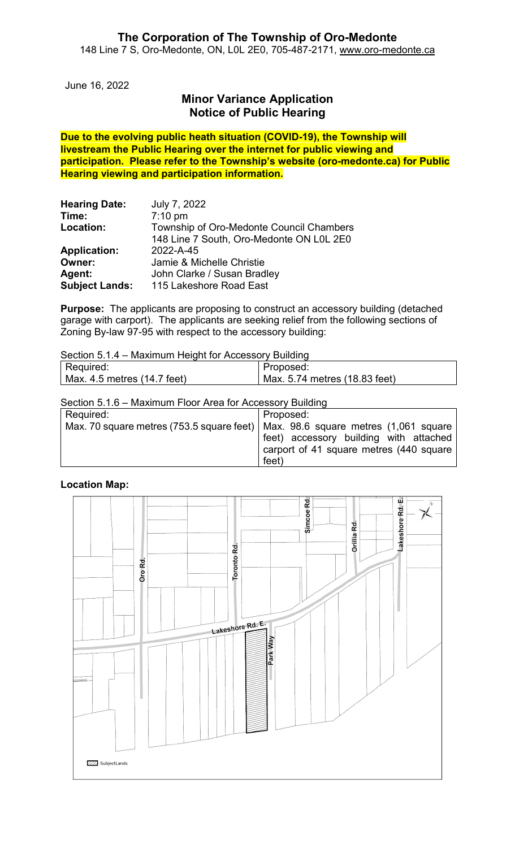### **The Corporation of The Township of Oro-Medonte** 148 Line 7 S, Oro-Medonte, ON, L0L 2E0, 705-487-2171, [www.oro-medonte.ca](http://www.oro-medonte.ca/)

June 16, 2022

# **Minor Variance Application Notice of Public Hearing**

**Due to the evolving public heath situation (COVID-19), the Township will livestream the Public Hearing over the internet for public viewing and participation. Please refer to the Township's website (oro-medonte.ca) for Public Hearing viewing and participation information.**

| <b>Hearing Date:</b>  | July 7, 2022                             |
|-----------------------|------------------------------------------|
| Time:                 | $7:10$ pm                                |
| Location:             | Township of Oro-Medonte Council Chambers |
|                       | 148 Line 7 South, Oro-Medonte ON L0L 2E0 |
| <b>Application:</b>   | 2022-A-45                                |
| Owner:                | Jamie & Michelle Christie                |
| Agent:                | John Clarke / Susan Bradley              |
| <b>Subject Lands:</b> | 115 Lakeshore Road East                  |

**Purpose:** The applicants are proposing to construct an accessory building (detached garage with carport). The applicants are seeking relief from the following sections of Zoning By-law 97-95 with respect to the accessory building:

Section 5.1.4 – Maximum Height for Accessory Building

| Required:                   | Proposed:                                  |
|-----------------------------|--------------------------------------------|
| Max. 4.5 metres (14.7 feet) | <sup>1</sup> Max. 5.74 metres (18.83 feet) |

Section 5.1.6 – Maximum Floor Area for Accessory Building

| Required: | Proposed:                                                                         |
|-----------|-----------------------------------------------------------------------------------|
|           | Max. 70 square metres (753.5 square feet)   Max. 98.6 square metres (1,061 square |
|           | feet) accessory building with attached                                            |
|           | carport of 41 square metres (440 square                                           |
|           | feet)                                                                             |

#### **Location Map:**

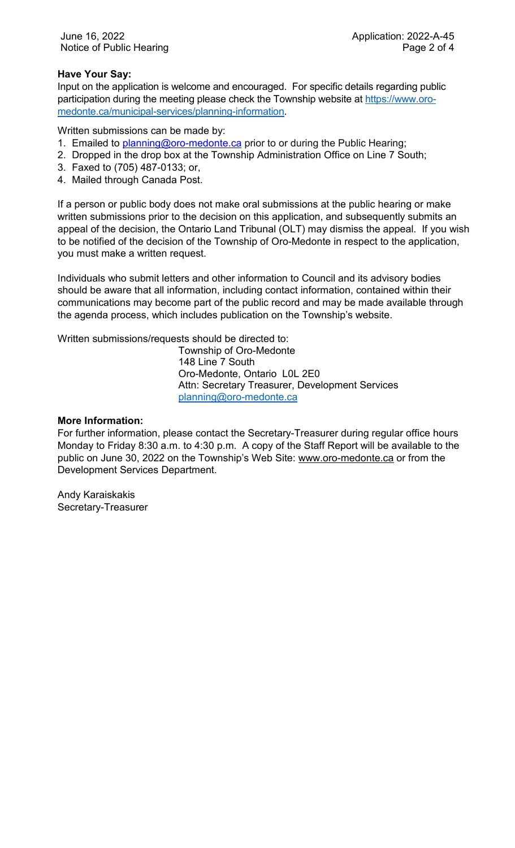#### **Have Your Say:**

Input on the application is welcome and encouraged. For specific details regarding public participation during the meeting please check the Township website at [https://www.oro](https://www.oro-medonte.ca/municipal-services/planning-information)[medonte.ca/municipal-services/planning-information.](https://www.oro-medonte.ca/municipal-services/planning-information)

Written submissions can be made by:

- 1. Emailed to *planning@oro-medonte.ca* prior to or during the Public Hearing;
- 2. Dropped in the drop box at the Township Administration Office on Line 7 South;
- 3. Faxed to (705) 487-0133; or,
- 4. Mailed through Canada Post.

If a person or public body does not make oral submissions at the public hearing or make written submissions prior to the decision on this application, and subsequently submits an appeal of the decision, the Ontario Land Tribunal (OLT) may dismiss the appeal. If you wish to be notified of the decision of the Township of Oro-Medonte in respect to the application, you must make a written request.

Individuals who submit letters and other information to Council and its advisory bodies should be aware that all information, including contact information, contained within their communications may become part of the public record and may be made available through the agenda process, which includes publication on the Township's website.

Written submissions/requests should be directed to:

Township of Oro-Medonte 148 Line 7 South Oro-Medonte, Ontario L0L 2E0 Attn: Secretary Treasurer, Development Services [planning@oro-medonte.ca](mailto:planning@oro-medonte.ca)

#### **More Information:**

For further information, please contact the Secretary-Treasurer during regular office hours Monday to Friday 8:30 a.m. to 4:30 p.m. A copy of the Staff Report will be available to the public on June 30, 2022 on the Township's Web Site: [www.oro-medonte.ca](http://www.oro-medonte.ca/) or from the Development Services Department.

Andy Karaiskakis Secretary-Treasurer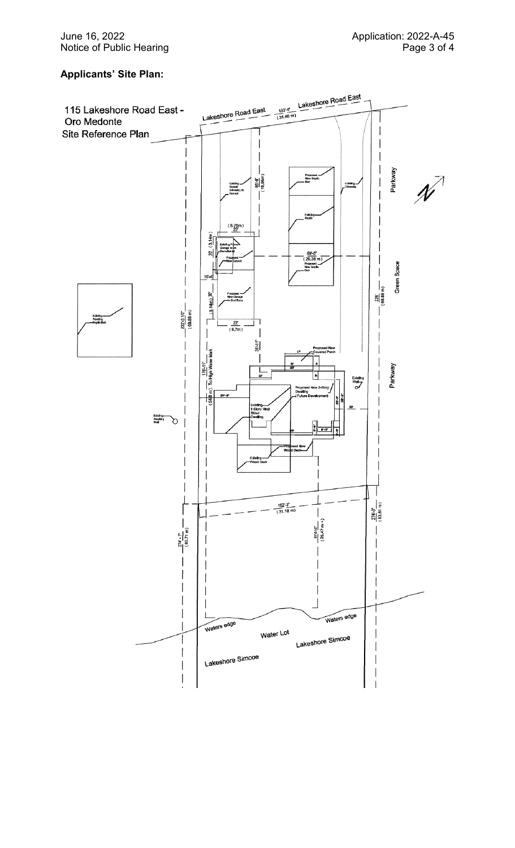## **Applicants ' Site Plan:**